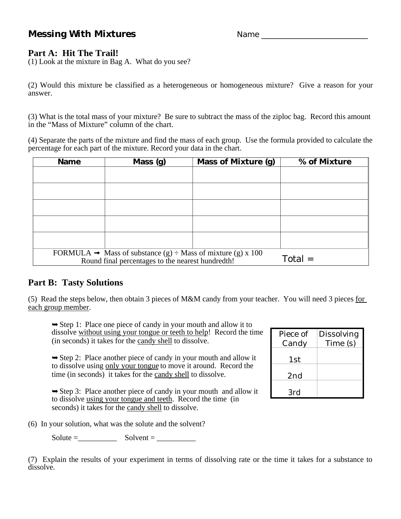# **Messing With Mixtures** Name \_\_\_\_\_\_\_\_\_\_\_\_\_\_\_\_\_\_\_\_\_\_\_\_\_\_\_

## **Part A: Hit The Trail!**

(1) Look at the mixture in Bag A. What do you see?

(2) Would this mixture be classified as a heterogeneous or homogeneous mixture? Give a reason for your answer.

(3) What is the total mass of your mixture? Be sure to subtract the mass of the ziploc bag. Record this amount in the "Mass of Mixture" column of the chart.

(4) Separate the parts of the mixture and find the mass of each group. Use the formula provided to calculate the percentage for each part of the mixture. Record your data in the chart.

| <b>Name</b>                                                                  | Mass (g)  | <b>Mass of Mixture (g)</b> | % of Mixture |  |
|------------------------------------------------------------------------------|-----------|----------------------------|--------------|--|
|                                                                              |           |                            |              |  |
|                                                                              |           |                            |              |  |
|                                                                              |           |                            |              |  |
|                                                                              |           |                            |              |  |
|                                                                              |           |                            |              |  |
|                                                                              |           |                            |              |  |
|                                                                              |           |                            |              |  |
|                                                                              |           |                            |              |  |
|                                                                              |           |                            |              |  |
|                                                                              |           |                            |              |  |
| FORMULA $\rightarrow$ Mass of substance (g) $\div$ Mass of mixture (g) x 100 |           |                            |              |  |
| Round final percentages to the nearest hundredth!                            | $Total =$ |                            |              |  |

#### **Part B: Tasty Solutions**

(5) Read the steps below, then obtain 3 pieces of M&M candy from your teacher. You will need 3 pieces for each group member.

➥Step 1: Place one piece of candy in your mouth and allow it to dissolve without using your tongue or teeth to help! Record the time (in seconds) it takes for the candy shell to dissolve.

➥Step 2: Place another piece of candy in your mouth and allow it to dissolve using only your tongue to move it around. Record the time (in seconds) it takes for the candy shell to dissolve.

 $\rightarrow$  Step 3: Place another piece of candy in your mouth and allow it to dissolve using your tongue and teeth. Record the time (in seconds) it takes for the candy shell to dissolve.

Candy Time (s) 1st 2nd 3rd

Dissolving

Piece of

(6) In your solution, what was the solute and the solvent?

 $Solute = \_\_\_\_\_$  Solvent =  $\_\_\_\_\_\_\_$ 

(7) Explain the results of your experiment in terms of dissolving rate or the time it takes for a substance to dissolve.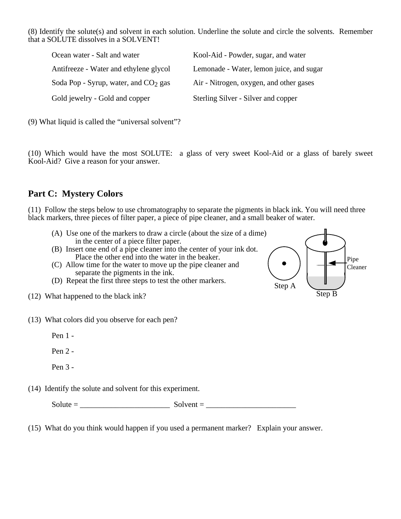(8) Identify the solute(s) and solvent in each solution. Underline the solute and circle the solvents. Remember that a SOLUTE dissolves in a SOLVENT!

| Ocean water - Salt and water           | Kool-Aid - Powder, sugar, and water      |
|----------------------------------------|------------------------------------------|
| Antifreeze - Water and ethylene glycol | Lemonade - Water, lemon juice, and sugar |
| Soda Pop - Syrup, water, and $CO2$ gas | Air - Nitrogen, oxygen, and other gases  |
| Gold jewelry - Gold and copper         | Sterling Silver - Silver and copper      |

(9) What liquid is called the "universal solvent"?

(10) Which would have the most SOLUTE: a glass of very sweet Kool-Aid or a glass of barely sweet Kool-Aid? Give a reason for your answer.

# **Part C: Mystery Colors**

(11) Follow the steps below to use chromatography to separate the pigments in black ink. You will need three black markers, three pieces of filter paper, a piece of pipe cleaner, and a small beaker of water.

- (A) Use one of the markers to draw a circle (about the size of a dime) in the center of a piece filter paper.
- (B) Insert one end of a pipe cleaner into the center of your ink dot. Place the other end into the water in the beaker.
- (C) Allow time for the water to move up the pipe cleaner and separate the pigments in the ink.
- (D) Repeat the first three steps to test the other markers.
- (12) What happened to the black ink?
- (13) What colors did you observe for each pen?

Pen 1 -

Pen 2 -

Pen 3 -

(14) Identify the solute and solvent for this experiment.

 $Solute =$ <br>Solvent =

(15) What do you think would happen if you used a permanent marker? Explain your answer.